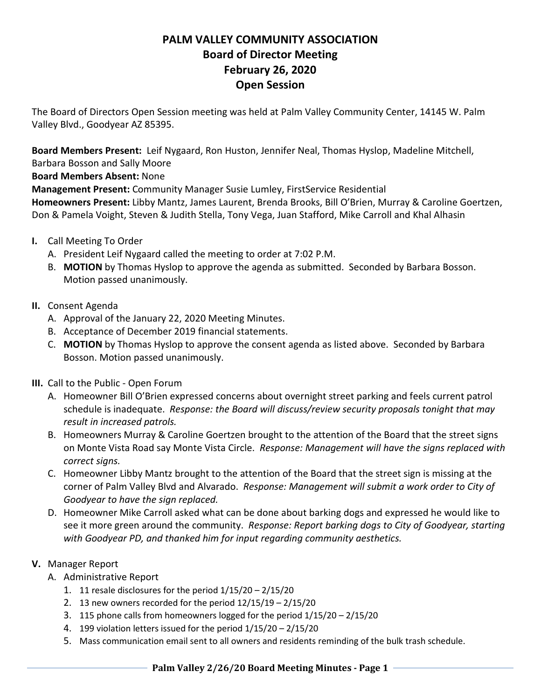## **PALM VALLEY COMMUNITY ASSOCIATION Board of Director Meeting February 26, 2020 Open Session**

The Board of Directors Open Session meeting was held at Palm Valley Community Center, 14145 W. Palm Valley Blvd., Goodyear AZ 85395.

**Board Members Present:** Leif Nygaard, Ron Huston, Jennifer Neal, Thomas Hyslop, Madeline Mitchell,

Barbara Bosson and Sally Moore

**Board Members Absent:** None

**Management Present:** Community Manager Susie Lumley, FirstService Residential

**Homeowners Present:** Libby Mantz, James Laurent, Brenda Brooks, Bill O'Brien, Murray & Caroline Goertzen, Don & Pamela Voight, Steven & Judith Stella, Tony Vega, Juan Stafford, Mike Carroll and Khal Alhasin

- **I.** Call Meeting To Order
	- A. President Leif Nygaard called the meeting to order at 7:02 P.M.
	- B. **MOTION** by Thomas Hyslop to approve the agenda as submitted. Seconded by Barbara Bosson. Motion passed unanimously.
- **II.** Consent Agenda
	- A. Approval of the January 22, 2020 Meeting Minutes.
	- B. Acceptance of December 2019 financial statements.
	- C. **MOTION** by Thomas Hyslop to approve the consent agenda as listed above. Seconded by Barbara Bosson. Motion passed unanimously.
- **III.** Call to the Public Open Forum
	- A. Homeowner Bill O'Brien expressed concerns about overnight street parking and feels current patrol schedule is inadequate. *Response: the Board will discuss/review security proposals tonight that may result in increased patrols.*
	- B. Homeowners Murray & Caroline Goertzen brought to the attention of the Board that the street signs on Monte Vista Road say Monte Vista Circle. *Response: Management will have the signs replaced with correct signs.*
	- C. Homeowner Libby Mantz brought to the attention of the Board that the street sign is missing at the corner of Palm Valley Blvd and Alvarado. *Response: Management will submit a work order to City of Goodyear to have the sign replaced.*
	- D. Homeowner Mike Carroll asked what can be done about barking dogs and expressed he would like to see it more green around the community. *Response: Report barking dogs to City of Goodyear, starting with Goodyear PD, and thanked him for input regarding community aesthetics.*
- **V.** Manager Report
	- A. Administrative Report
		- 1. 11 resale disclosures for the period 1/15/20 2/15/20
		- 2. 13 new owners recorded for the period 12/15/19 2/15/20
		- 3. 115 phone calls from homeowners logged for the period 1/15/20 2/15/20
		- 4. 199 violation letters issued for the period 1/15/20 2/15/20
		- 5. Mass communication email sent to all owners and residents reminding of the bulk trash schedule.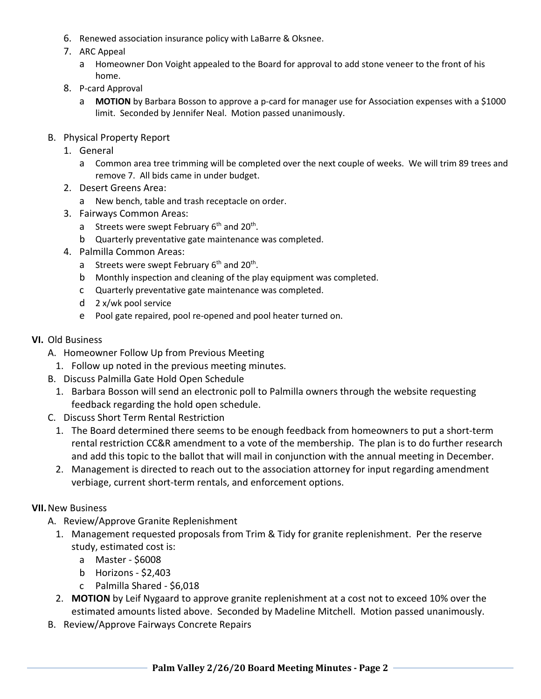- 6. Renewed association insurance policy with LaBarre & Oksnee.
- 7. ARC Appeal
	- a Homeowner Don Voight appealed to the Board for approval to add stone veneer to the front of his home.
- 8. P-card Approval
	- a **MOTION** by Barbara Bosson to approve a p-card for manager use for Association expenses with a \$1000 limit. Seconded by Jennifer Neal. Motion passed unanimously.
- B. Physical Property Report
	- 1. General
		- a Common area tree trimming will be completed over the next couple of weeks. We will trim 89 trees and remove 7. All bids came in under budget.
	- 2. Desert Greens Area:
		- a New bench, table and trash receptacle on order.
	- 3. Fairways Common Areas:
		- a Streets were swept February  $6<sup>th</sup>$  and  $20<sup>th</sup>$ .
		- b Quarterly preventative gate maintenance was completed.
	- 4. Palmilla Common Areas:
		- a Streets were swept February  $6<sup>th</sup>$  and  $20<sup>th</sup>$ .
		- b Monthly inspection and cleaning of the play equipment was completed.
		- c Quarterly preventative gate maintenance was completed.
		- d 2 x/wk pool service
		- e Pool gate repaired, pool re-opened and pool heater turned on.
- **VI.** Old Business
	- A. Homeowner Follow Up from Previous Meeting
		- 1. Follow up noted in the previous meeting minutes.
	- B. Discuss Palmilla Gate Hold Open Schedule
		- 1. Barbara Bosson will send an electronic poll to Palmilla owners through the website requesting feedback regarding the hold open schedule.
	- C. Discuss Short Term Rental Restriction
		- 1. The Board determined there seems to be enough feedback from homeowners to put a short-term rental restriction CC&R amendment to a vote of the membership. The plan is to do further research and add this topic to the ballot that will mail in conjunction with the annual meeting in December.
		- 2. Management is directed to reach out to the association attorney for input regarding amendment verbiage, current short-term rentals, and enforcement options.

## **VII.**New Business

- A. Review/Approve Granite Replenishment
	- 1. Management requested proposals from Trim & Tidy for granite replenishment. Per the reserve study, estimated cost is:
		- a Master \$6008
		- b Horizons \$2,403
		- c Palmilla Shared \$6,018
	- 2. **MOTION** by Leif Nygaard to approve granite replenishment at a cost not to exceed 10% over the estimated amounts listed above. Seconded by Madeline Mitchell. Motion passed unanimously.
- B. Review/Approve Fairways Concrete Repairs